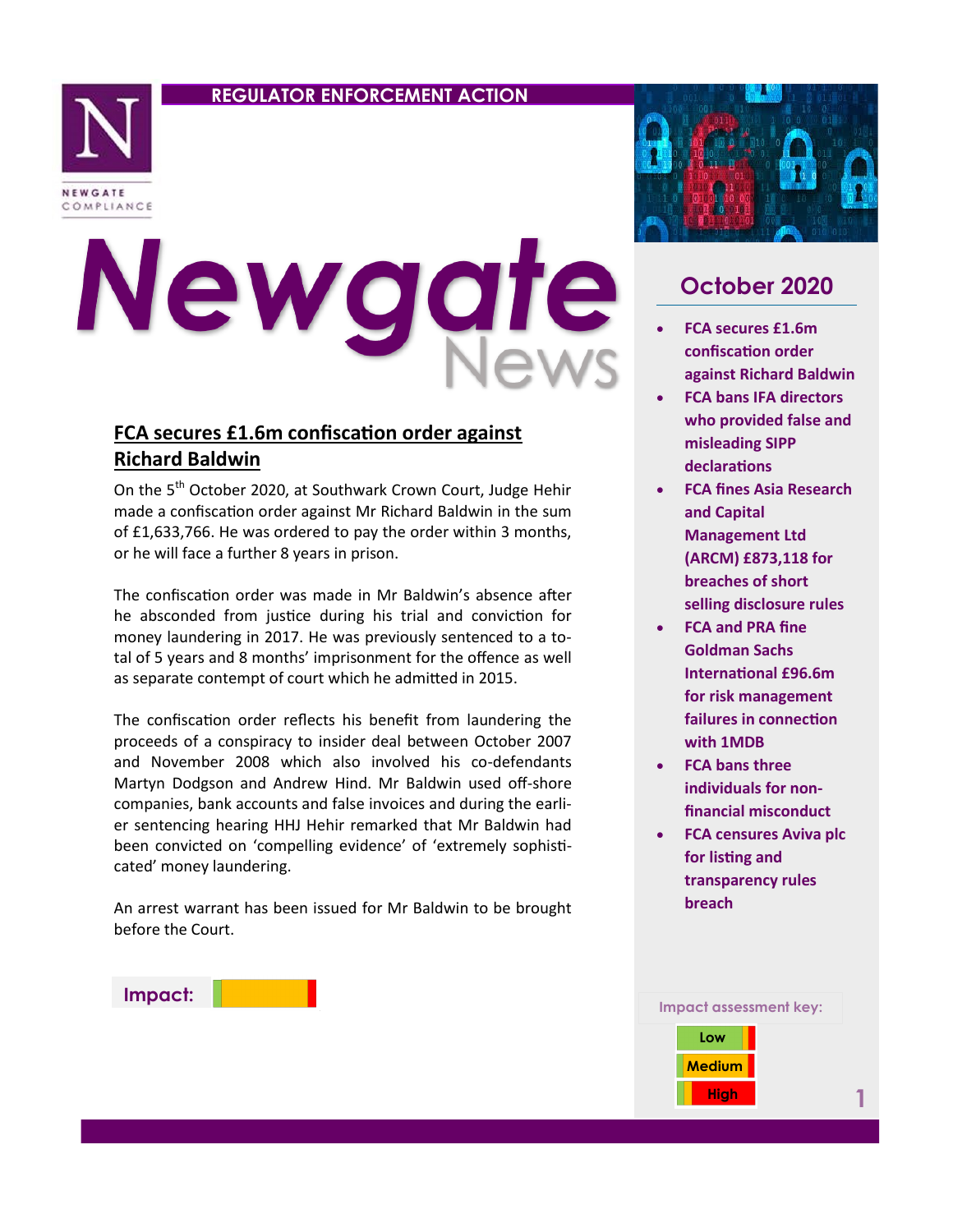## **REGULATOR ENFORCEMENT ACTION**



# Newgat

# **FCA secures £1.6m confiscation order against Richard Baldwin**

On the 5<sup>th</sup> October 2020, at Southwark Crown Court, Judge Hehir made a confiscation order against Mr Richard Baldwin in the sum of £1,633,766. He was ordered to pay the order within 3 months, or he will face a further 8 years in prison.

The confiscation order was made in Mr Baldwin's absence after he absconded from justice during his trial and conviction for money laundering in 2017. He was previously sentenced to a total of 5 years and 8 months' imprisonment for the offence as well as separate contempt of court which he admitted in 2015.

The confiscation order reflects his benefit from laundering the proceeds of a conspiracy to insider deal between October 2007 and November 2008 which also involved his co-defendants Martyn Dodgson and Andrew Hind. Mr Baldwin used off-shore companies, bank accounts and false invoices and during the earlier sentencing hearing HHJ Hehir remarked that Mr Baldwin had been convicted on 'compelling evidence' of 'extremely sophisticated' money laundering.

An arrest warrant has been issued for Mr Baldwin to be brought before the Court.





# **October 2020**

- **FCA secures £1.6m confiscation order against Richard Baldwin**
- **FCA bans IFA directors who provided false and misleading SIPP declarations**
- **FCA fines Asia Research and Capital Management Ltd (ARCM) £873,118 for breaches of short selling disclosure rules**
- **FCA and PRA fine Goldman Sachs International £96.6m for risk management failures in connection with 1MDB**
- **FCA bans three individuals for nonfinancial misconduct**
- **FCA censures Aviva plc for listing and transparency rules breach**



**1**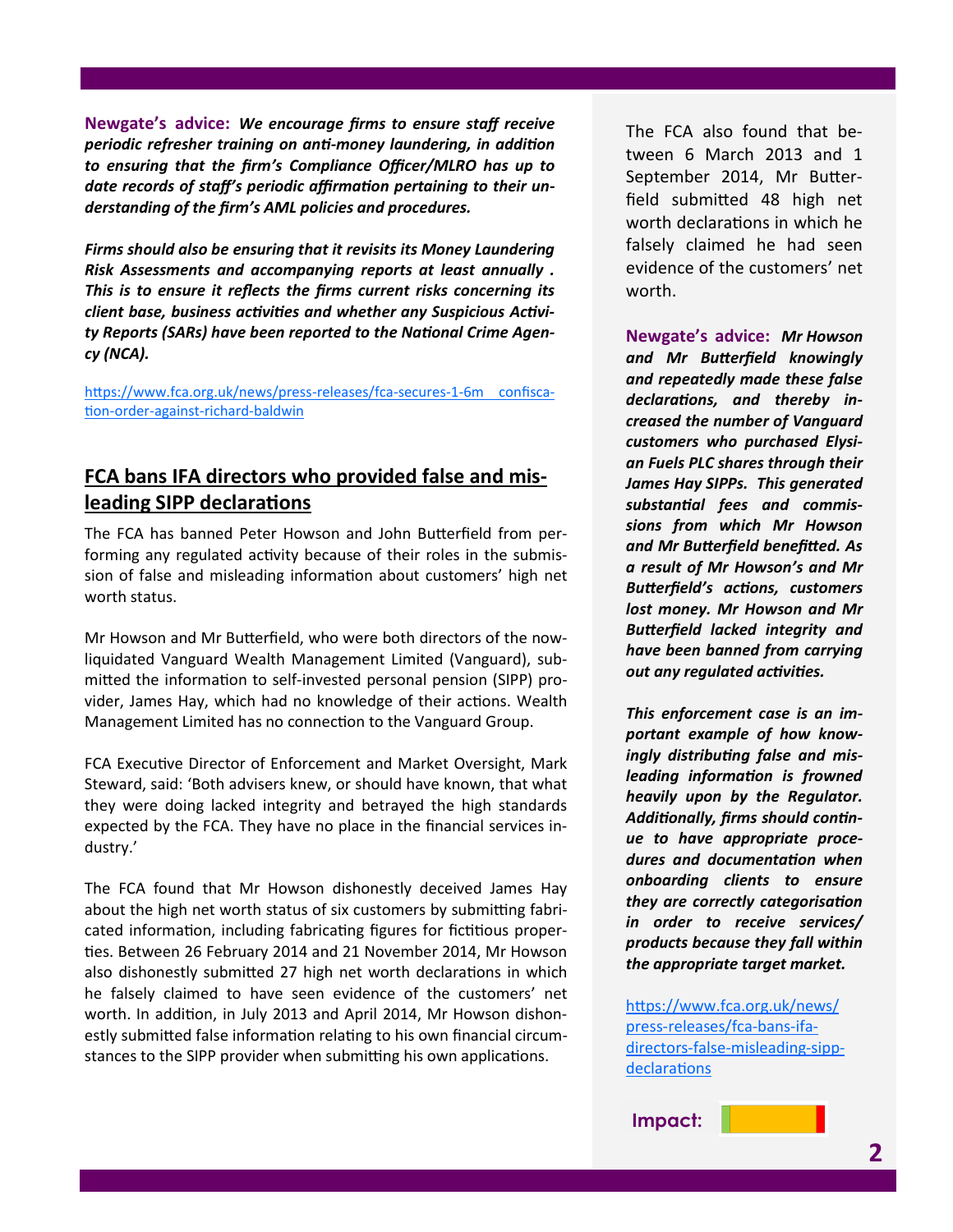**Newgate's advice:** *We encourage firms to ensure staff receive periodic refresher training on anti-money laundering, in addition to ensuring that the firm's Compliance Officer/MLRO has up to date records of staff's periodic affirmation pertaining to their understanding of the firm's AML policies and procedures.* 

*Firms should also be ensuring that it revisits its Money Laundering Risk Assessments and accompanying reports at least annually . This is to ensure it reflects the firms current risks concerning its client base, business activities and whether any Suspicious Activity Reports (SARs) have been reported to the National Crime Agency (NCA).* 

[https://www.fca.org.uk/news/press](https://www.fca.org.uk/news/press-releases/fca-secures-1-6m-confiscation-order-against-richard-baldwin)-releases/fca-secures-1-6m confiscation-order-against-richard-[baldwin](https://www.fca.org.uk/news/press-releases/fca-secures-1-6m-confiscation-order-against-richard-baldwin)

# **FCA bans IFA directors who provided false and misleading SIPP declarations**

The FCA has banned Peter Howson and John Butterfield from performing any regulated activity because of their roles in the submission of false and misleading information about customers' high net worth status.

Mr Howson and Mr Butterfield, who were both directors of the nowliquidated Vanguard Wealth Management Limited (Vanguard), submitted the information to self-invested personal pension (SIPP) provider, James Hay, which had no knowledge of their actions. Wealth Management Limited has no connection to the Vanguard Group.

FCA Executive Director of Enforcement and Market Oversight, Mark Steward, said: 'Both advisers knew, or should have known, that what they were doing lacked integrity and betrayed the high standards expected by the FCA. They have no place in the financial services industry.'

The FCA found that Mr Howson dishonestly deceived James Hay about the high net worth status of six customers by submitting fabricated information, including fabricating figures for fictitious properties. Between 26 February 2014 and 21 November 2014, Mr Howson also dishonestly submitted 27 high net worth declarations in which he falsely claimed to have seen evidence of the customers' net worth. In addition, in July 2013 and April 2014, Mr Howson dishonestly submitted false information relating to his own financial circumstances to the SIPP provider when submitting his own applications.

The FCA also found that between 6 March 2013 and 1 September 2014, Mr Butterfield submitted 48 high net worth declarations in which he falsely claimed he had seen evidence of the customers' net worth.

**Newgate's advice:** *Mr Howson and Mr Butterfield knowingly and repeatedly made these false declarations, and thereby increased the number of Vanguard customers who purchased Elysian Fuels PLC shares through their James Hay SIPPs. This generated substantial fees and commissions from which Mr Howson and Mr Butterfield benefitted. As a result of Mr Howson's and Mr Butterfield's actions, customers lost money. Mr Howson and Mr Butterfield lacked integrity and have been banned from carrying out any regulated activities.* 

*This enforcement case is an important example of how knowingly distributing false and misleading information is frowned heavily upon by the Regulator. Additionally, firms should continue to have appropriate procedures and documentation when onboarding clients to ensure they are correctly categorisation in order to receive services/ products because they fall within the appropriate target market.*

[https://www.fca.org.uk/news/](https://www.fca.org.uk/news/press-releases/fca-bans-ifa-directors-false-misleading-sipp-declarations) press-[releases/fca](https://www.fca.org.uk/news/press-releases/fca-bans-ifa-directors-false-misleading-sipp-declarations)-bans-ifadirectors-false-[misleading](https://www.fca.org.uk/news/press-releases/fca-bans-ifa-directors-false-misleading-sipp-declarations)-sipp[declarations](https://www.fca.org.uk/news/press-releases/fca-bans-ifa-directors-false-misleading-sipp-declarations)

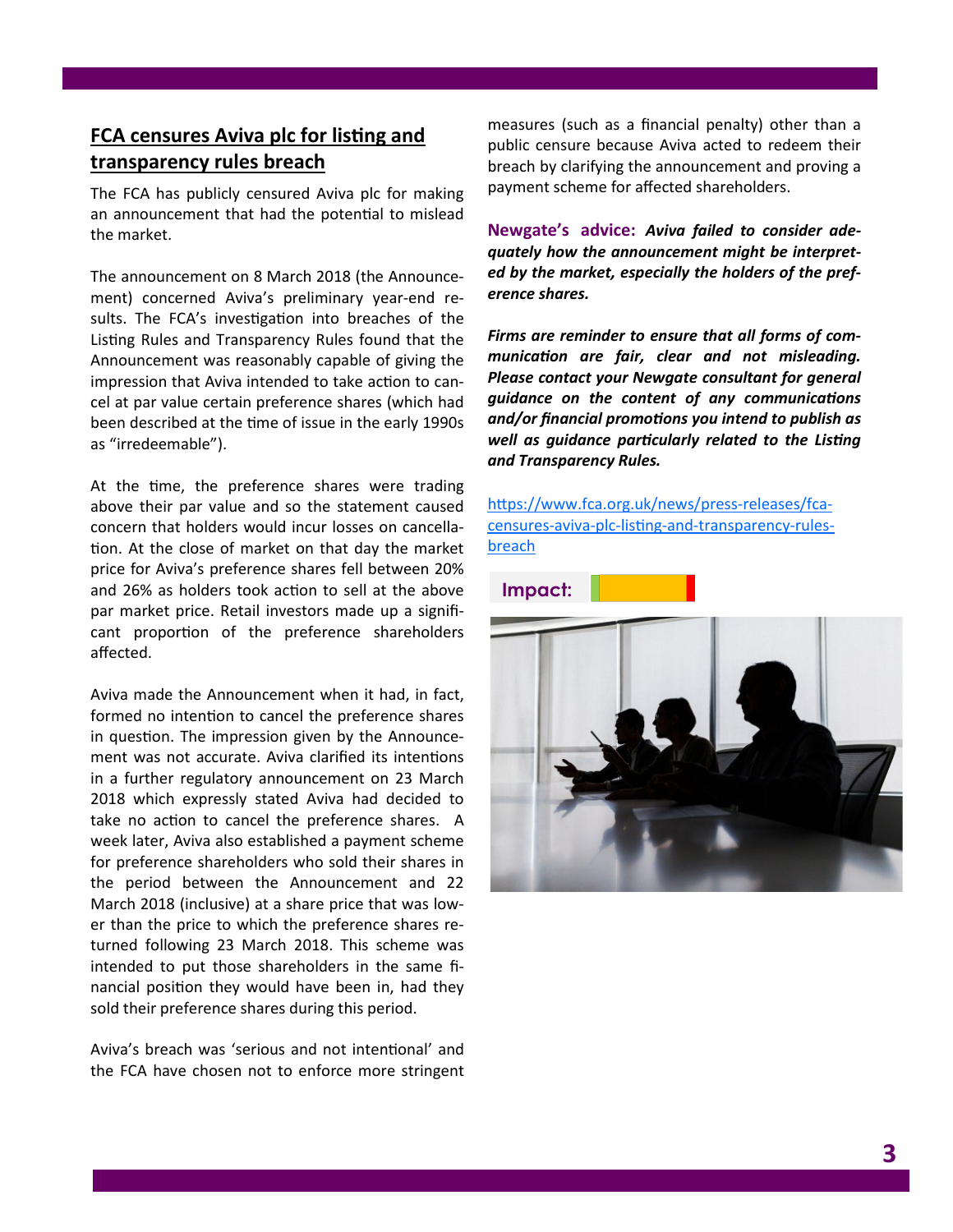## **FCA censures Aviva plc for listing and transparency rules breach**

The FCA has publicly censured Aviva plc for making an announcement that had the potential to mislead the market.

The announcement on 8 March 2018 (the Announcement) concerned Aviva's preliminary year-end results. The FCA's investigation into breaches of the Listing Rules and Transparency Rules found that the Announcement was reasonably capable of giving the impression that Aviva intended to take action to cancel at par value certain preference shares (which had been described at the time of issue in the early 1990s as "irredeemable").

At the time, the preference shares were trading above their par value and so the statement caused concern that holders would incur losses on cancellation. At the close of market on that day the market price for Aviva's preference shares fell between 20% and 26% as holders took action to sell at the above par market price. Retail investors made up a significant proportion of the preference shareholders affected.

Aviva made the Announcement when it had, in fact, formed no intention to cancel the preference shares in question. The impression given by the Announcement was not accurate. Aviva clarified its intentions in a further regulatory announcement on 23 March 2018 which expressly stated Aviva had decided to take no action to cancel the preference shares. A week later, Aviva also established a payment scheme for preference shareholders who sold their shares in the period between the Announcement and 22 March 2018 (inclusive) at a share price that was lower than the price to which the preference shares returned following 23 March 2018. This scheme was intended to put those shareholders in the same financial position they would have been in, had they sold their preference shares during this period.

Aviva's breach was 'serious and not intentional' and the FCA have chosen not to enforce more stringent measures (such as a financial penalty) other than a public censure because Aviva acted to redeem their breach by clarifying the announcement and proving a payment scheme for affected shareholders.

**Newgate's advice:** *Aviva failed to consider adequately how the announcement might be interpreted by the market, especially the holders of the preference shares.* 

*Firms are reminder to ensure that all forms of communication are fair, clear and not misleading. Please contact your Newgate consultant for general guidance on the content of any communications and/or financial promotions you intend to publish as well as guidance particularly related to the Listing and Transparency Rules.* 

[https://www.fca.org.uk/news/press](https://www.fca.org.uk/news/press-releases/fca-censures-aviva-plc-listing-and-transparency-rules-breach)-releases/fcacensures-aviva-plc-listing-and-[transparency](https://www.fca.org.uk/news/press-releases/fca-censures-aviva-plc-listing-and-transparency-rules-breach)-rules[breach](https://www.fca.org.uk/news/press-releases/fca-censures-aviva-plc-listing-and-transparency-rules-breach)

**Impact:**

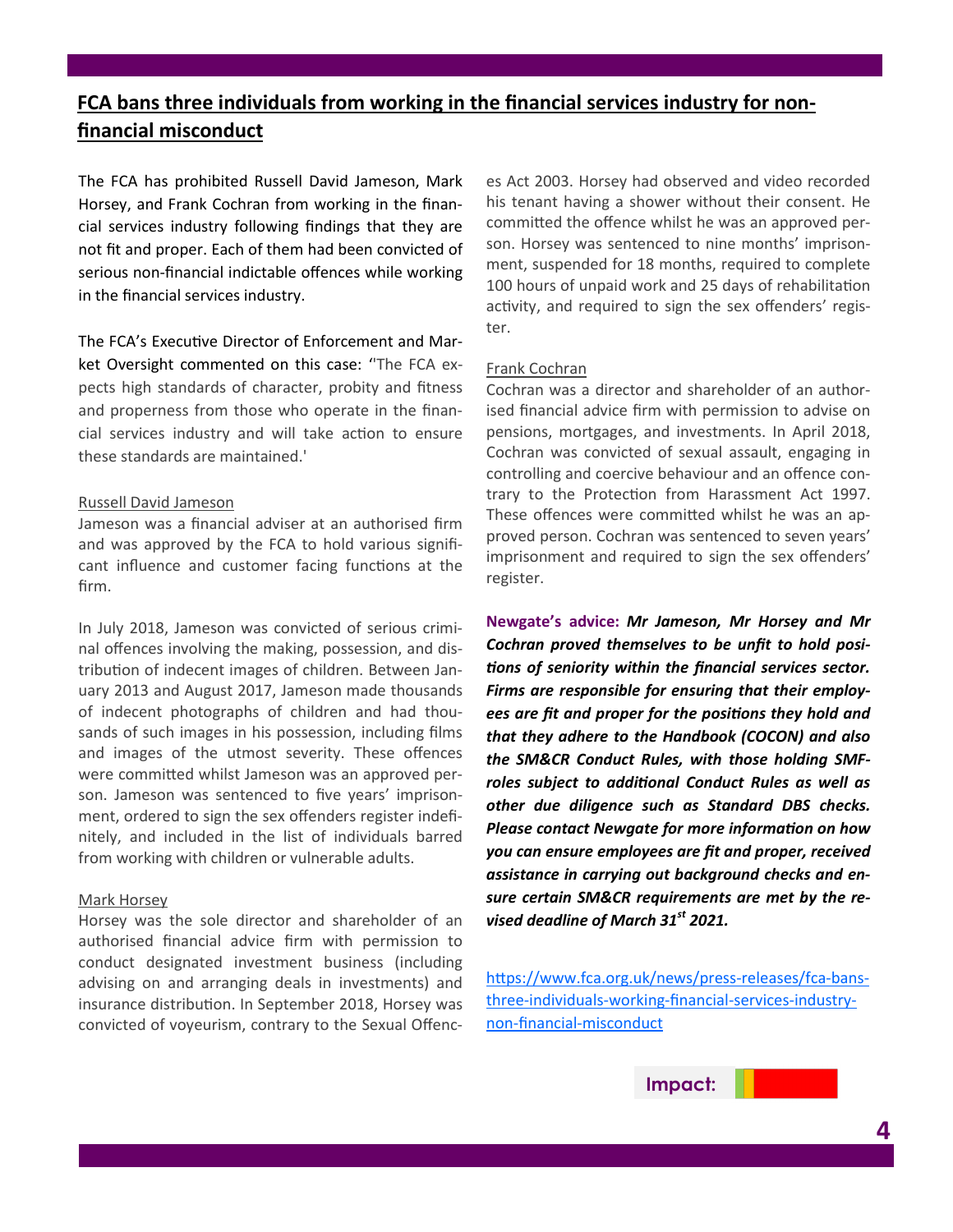# **FCA bans three individuals from working in the financial services industry for nonfinancial misconduct**

The FCA has prohibited Russell David Jameson, Mark Horsey, and Frank Cochran from working in the financial services industry following findings that they are not fit and proper. Each of them had been convicted of serious non-financial indictable offences while working in the financial services industry.

The FCA's Executive Director of Enforcement and Market Oversight commented on this case: ''The FCA expects high standards of character, probity and fitness and properness from those who operate in the financial services industry and will take action to ensure these standards are maintained.'

#### Russell David Jameson

Jameson was a financial adviser at an authorised firm and was approved by the FCA to hold various significant influence and customer facing functions at the firm.

In July 2018, Jameson was convicted of serious criminal offences involving the making, possession, and distribution of indecent images of children. Between January 2013 and August 2017, Jameson made thousands of indecent photographs of children and had thousands of such images in his possession, including films and images of the utmost severity. These offences were committed whilst Jameson was an approved person. Jameson was sentenced to five years' imprisonment, ordered to sign the sex offenders register indefinitely, and included in the list of individuals barred from working with children or vulnerable adults.

#### Mark Horsey

Horsey was the sole director and shareholder of an authorised financial advice firm with permission to conduct designated investment business (including advising on and arranging deals in investments) and insurance distribution. In September 2018, Horsey was convicted of voyeurism, contrary to the Sexual Offences Act 2003. Horsey had observed and video recorded his tenant having a shower without their consent. He committed the offence whilst he was an approved person. Horsey was sentenced to nine months' imprisonment, suspended for 18 months, required to complete 100 hours of unpaid work and 25 days of rehabilitation activity, and required to sign the sex offenders' register.

### Frank Cochran

Cochran was a director and shareholder of an authorised financial advice firm with permission to advise on pensions, mortgages, and investments. In April 2018, Cochran was convicted of sexual assault, engaging in controlling and coercive behaviour and an offence contrary to the Protection from Harassment Act 1997. These offences were committed whilst he was an approved person. Cochran was sentenced to seven years' imprisonment and required to sign the sex offenders' register.

**Newgate's advice:** *Mr Jameson, Mr Horsey and Mr Cochran proved themselves to be unfit to hold positions of seniority within the financial services sector. Firms are responsible for ensuring that their employees are fit and proper for the positions they hold and that they adhere to the Handbook (COCON) and also the SM&CR Conduct Rules, with those holding SMFroles subject to additional Conduct Rules as well as other due diligence such as Standard DBS checks. Please contact Newgate for more information on how you can ensure employees are fit and proper, received assistance in carrying out background checks and ensure certain SM&CR requirements are met by the revised deadline of March 31st 2021.*

[https://www.fca.org.uk/news/press](https://www.fca.org.uk/news/press-releases/fca-bans-three-individuals-working-financial-services-industry-non-financial-misconduct)-releases/fca-bansthree-[individuals](https://www.fca.org.uk/news/press-releases/fca-bans-three-individuals-working-financial-services-industry-non-financial-misconduct)-working-financial-services-industrynon-financial-[misconduct](https://www.fca.org.uk/news/press-releases/fca-bans-three-individuals-working-financial-services-industry-non-financial-misconduct)

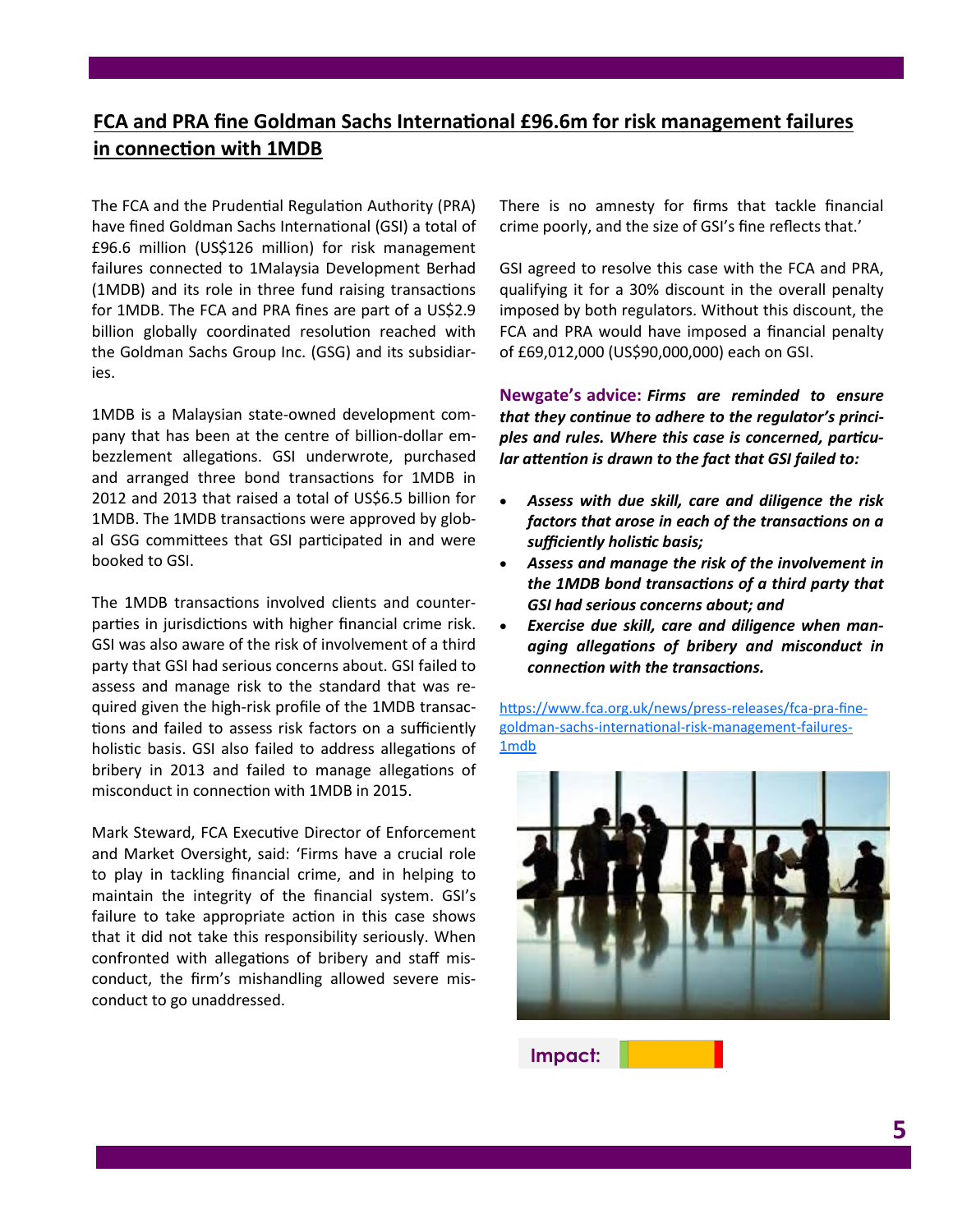# **FCA and PRA fine Goldman Sachs International £96.6m for risk management failures in connection with 1MDB**

The FCA and the Prudential Regulation Authority (PRA) have fined Goldman Sachs International (GSI) a total of £96.6 million (US\$126 million) for risk management failures connected to 1Malaysia Development Berhad (1MDB) and its role in three fund raising transactions for 1MDB. The FCA and PRA fines are part of a US\$2.9 billion globally coordinated resolution reached with the Goldman Sachs Group Inc. (GSG) and its subsidiaries.

1MDB is a Malaysian state-owned development company that has been at the centre of billion-dollar embezzlement allegations. GSI underwrote, purchased and arranged three bond transactions for 1MDB in 2012 and 2013 that raised a total of US\$6.5 billion for 1MDB. The 1MDB transactions were approved by global GSG committees that GSI participated in and were booked to GSI.

The 1MDB transactions involved clients and counterparties in jurisdictions with higher financial crime risk. GSI was also aware of the risk of involvement of a third party that GSI had serious concerns about. GSI failed to assess and manage risk to the standard that was required given the high-risk profile of the 1MDB transactions and failed to assess risk factors on a sufficiently holistic basis. GSI also failed to address allegations of bribery in 2013 and failed to manage allegations of misconduct in connection with 1MDB in 2015.

Mark Steward, FCA Executive Director of Enforcement and Market Oversight, said: 'Firms have a crucial role to play in tackling financial crime, and in helping to maintain the integrity of the financial system. GSI's failure to take appropriate action in this case shows that it did not take this responsibility seriously. When confronted with allegations of bribery and staff misconduct, the firm's mishandling allowed severe misconduct to go unaddressed.

There is no amnesty for firms that tackle financial crime poorly, and the size of GSI's fine reflects that.'

GSI agreed to resolve this case with the FCA and PRA, qualifying it for a 30% discount in the overall penalty imposed by both regulators. Without this discount, the FCA and PRA would have imposed a financial penalty of £69,012,000 (US\$90,000,000) each on GSI.

**Newgate's advice:** *Firms are reminded to ensure that they continue to adhere to the regulator's principles and rules. Where this case is concerned, particular attention is drawn to the fact that GSI failed to:*

- *Assess with due skill, care and diligence the risk factors that arose in each of the transactions on a sufficiently holistic basis;*
- *Assess and manage the risk of the involvement in the 1MDB bond transactions of a third party that GSI had serious concerns about; and*
- *Exercise due skill, care and diligence when managing allegations of bribery and misconduct in connection with the transactions.*

[https://www.fca.org.uk/news/press](https://www.fca.org.uk/news/press-releases/fca-pra-fine-goldman-sachs-international-risk-management-failures-1mdb)-releases/fca-pra-finegoldman-sachs-international-risk-[management](https://www.fca.org.uk/news/press-releases/fca-pra-fine-goldman-sachs-international-risk-management-failures-1mdb)-failures-[1mdb](https://www.fca.org.uk/news/press-releases/fca-pra-fine-goldman-sachs-international-risk-management-failures-1mdb)



**Impact:**